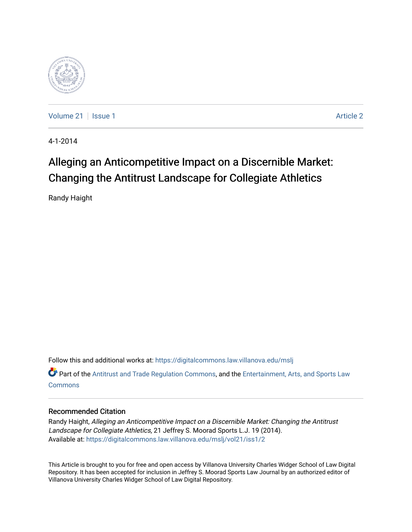

[Volume 21](https://digitalcommons.law.villanova.edu/mslj/vol21) | [Issue 1](https://digitalcommons.law.villanova.edu/mslj/vol21/iss1) [Article 2](https://digitalcommons.law.villanova.edu/mslj/vol21/iss1/2) | Article 2 | Article 2 | Article 2 | Article 2 | Article 2 | Article 2 | Article 2

4-1-2014

# Alleging an Anticompetitive Impact on a Discernible Market: Changing the Antitrust Landscape for Collegiate Athletics

Randy Haight

Follow this and additional works at: [https://digitalcommons.law.villanova.edu/mslj](https://digitalcommons.law.villanova.edu/mslj?utm_source=digitalcommons.law.villanova.edu%2Fmslj%2Fvol21%2Fiss1%2F2&utm_medium=PDF&utm_campaign=PDFCoverPages)

Part of the [Antitrust and Trade Regulation Commons,](http://network.bepress.com/hgg/discipline/911?utm_source=digitalcommons.law.villanova.edu%2Fmslj%2Fvol21%2Fiss1%2F2&utm_medium=PDF&utm_campaign=PDFCoverPages) and the [Entertainment, Arts, and Sports Law](http://network.bepress.com/hgg/discipline/893?utm_source=digitalcommons.law.villanova.edu%2Fmslj%2Fvol21%2Fiss1%2F2&utm_medium=PDF&utm_campaign=PDFCoverPages) **[Commons](http://network.bepress.com/hgg/discipline/893?utm_source=digitalcommons.law.villanova.edu%2Fmslj%2Fvol21%2Fiss1%2F2&utm_medium=PDF&utm_campaign=PDFCoverPages)** 

## Recommended Citation

Randy Haight, Alleging an Anticompetitive Impact on a Discernible Market: Changing the Antitrust Landscape for Collegiate Athletics, 21 Jeffrey S. Moorad Sports L.J. 19 (2014). Available at: [https://digitalcommons.law.villanova.edu/mslj/vol21/iss1/2](https://digitalcommons.law.villanova.edu/mslj/vol21/iss1/2?utm_source=digitalcommons.law.villanova.edu%2Fmslj%2Fvol21%2Fiss1%2F2&utm_medium=PDF&utm_campaign=PDFCoverPages) 

This Article is brought to you for free and open access by Villanova University Charles Widger School of Law Digital Repository. It has been accepted for inclusion in Jeffrey S. Moorad Sports Law Journal by an authorized editor of Villanova University Charles Widger School of Law Digital Repository.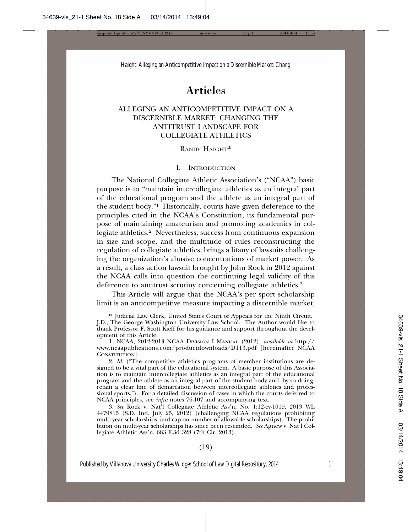# Articles

### ALLEGING AN ANTICOMPETITIVE IMPACT ON A DISCERNIBLE MARKET: CHANGING THE ANTITRUST LANDSCAPE FOR COLLEGIATE ATHLETICS

#### RANDY HAIGHT\*

#### I. INTRODUCTION

The National Collegiate Athletic Association's ("NCAA") basic purpose is to "maintain intercollegiate athletics as an integral part of the educational program and the athlete as an integral part of the student body."1 Historically, courts have given deference to the principles cited in the NCAA's Constitution, its fundamental purpose of maintaining amateurism and promoting academics in collegiate athletics.<sup>2</sup> Nevertheless, success from continuous expansion in size and scope, and the multitude of rules reconstructing the regulation of collegiate athletics, brings a litany of lawsuits challenging the organization's abusive concentrations of market power. As a result, a class action lawsuit brought by John Rock in 2012 against the NCAA calls into question the continuing legal validity of this deference to antitrust scrutiny concerning collegiate athletics.<sup>3</sup>

This Article will argue that the NCAA's per sport scholarship limit is an anticompetitive measure impacting a discernible market,

2. *Id.* ("The competitive athletics programs of member institutions are designed to be a vital part of the educational system. A basic purpose of this Association is to maintain intercollegiate athletics as an integral part of the educational program and the athlete as an integral part of the student body and, by so doing, retain a clear line of demarcation between intercollegiate athletics and professional sports."). For a detailed discussion of cases in which the courts deferred to NCAA principles, see *infra* notes 76-107 and accompanying text.

3. *See* Rock v. Nat'l Collegiate Athletic Ass'n, No. 1:12-cv-1019, 2013 WL 4479815 (S.D. Ind. July 25, 2012) (challenging NCAA regulations prohibiting multi-year scholarships, and cap on number of allowable scholarships). The prohibition on multi-year scholarships has since been rescinded. *See* Agnew v. Nat'l Collegiate Athletic Ass'n, 683 F.3d 328 (7th Cir. 2013).

#### (19)

<sup>\*</sup> Judicial Law Clerk, United States Court of Appeals for the Ninth Circuit.

J.D., The George Washington University Law School. The Author would like to thank Professor F. Scott Kieff for his guidance and support throughout the development of this Article.

<sup>1.</sup> NCAA, 2012-2013 NCAA DIVISION I MANUAL (2012), *available at* http:// www.ncaapublications.com/productdownloads/D113.pdf [hereinafter NCAA CONSTITUTION].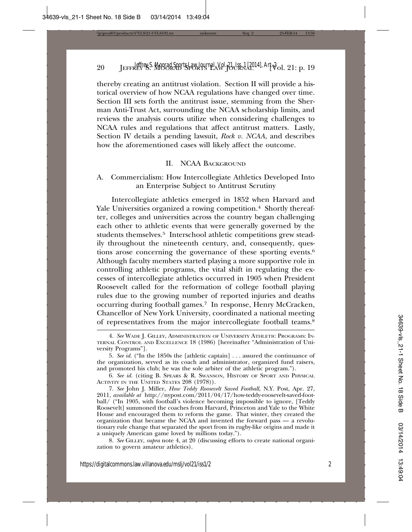thereby creating an antitrust violation. Section II will provide a historical overview of how NCAA regulations have changed over time. Section III sets forth the antitrust issue, stemming from the Sherman Anti-Trust Act, surrounding the NCAA scholarship limits, and reviews the analysis courts utilize when considering challenges to NCAA rules and regulations that affect antitrust matters. Lastly, Section IV details a pending lawsuit, *Rock v. NCAA*, and describes how the aforementioned cases will likely affect the outcome.

#### II. NCAA BACKGROUND

#### A. Commercialism: How Intercollegiate Athletics Developed Into an Enterprise Subject to Antitrust Scrutiny

Intercollegiate athletics emerged in 1852 when Harvard and Yale Universities organized a rowing competition.<sup>4</sup> Shortly thereafter, colleges and universities across the country began challenging each other to athletic events that were generally governed by the students themselves.<sup>5</sup> Interschool athletic competitions grew steadily throughout the nineteenth century, and, consequently, questions arose concerning the governance of these sporting events.6 Although faculty members started playing a more supportive role in controlling athletic programs, the vital shift in regulating the excesses of intercollegiate athletics occurred in 1905 when President Roosevelt called for the reformation of college football playing rules due to the growing number of reported injuries and deaths occurring during football games.7 In response, Henry McCracken, Chancellor of New York University, coordinated a national meeting of representatives from the major intercollegiate football teams.8

8. *See* GILLEY, *supra* note 4, at 20 (discussing efforts to create national organization to govern amateur athletics).

<sup>4.</sup> *See* WADE J. GILLEY, ADMINISTRATION OF UNIVERSITY ATHLETIC PROGRAMS: IN-TERNAL CONTROL AND EXCELLENCE 18 (1986) [hereinafter "Administration of University Programs"].

<sup>5.</sup> *See id.* ("In the 1850s the [athletic captain] . . . assured the continuance of the organization, served as its coach and administrator, organized fund raisers, and promoted his club; he was the sole arbiter of the athletic program.").

<sup>6.</sup> *See id.* (citing B. SPEARS & R. SWANSON, HISTORY OF SPORT AND PHYSICAL ACTIVITY IN THE UNITED STATES 208 (1978)).

<sup>7.</sup> *See* John J. Miller, *How Teddy Roosevelt Saved Football*, N.Y. Post, Apr. 27, 2011, *available at* http://nypost.com/2011/04/17/how-teddy-roosevelt-saved-football/ ("In 1905, with football's violence becoming impossible to ignore, [Teddy Roosevelt] summoned the coaches from Harvard, Princeton and Yale to the White House and encouraged them to reform the game. That winter, they created the organization that became the NCAA and invented the forward pass — a revolutionary rule change that separated the sport from its rugby-like origins and made it a uniquely American game loved by millions today.").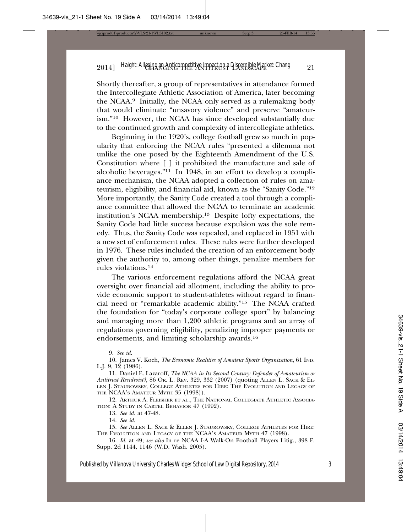Shortly thereafter, a group of representatives in attendance formed the Intercollegiate Athletic Association of America, later becoming the NCAA.9 Initially, the NCAA only served as a rulemaking body that would eliminate "unsavory violence" and preserve "amateurism."10 However, the NCAA has since developed substantially due to the continued growth and complexity of intercollegiate athletics.

Beginning in the 1920's, college football grew so much in popularity that enforcing the NCAA rules "presented a dilemma not unlike the one posed by the Eighteenth Amendment of the U.S. Constitution where [ ] it prohibited the manufacture and sale of alcoholic beverages."11 In 1948, in an effort to develop a compliance mechanism, the NCAA adopted a collection of rules on amateurism, eligibility, and financial aid, known as the "Sanity Code."12 More importantly, the Sanity Code created a tool through a compliance committee that allowed the NCAA to terminate an academic institution's NCAA membership.13 Despite lofty expectations, the Sanity Code had little success because expulsion was the sole remedy. Thus, the Sanity Code was repealed, and replaced in 1951 with a new set of enforcement rules. These rules were further developed in 1976. These rules included the creation of an enforcement body given the authority to, among other things, penalize members for rules violations.14

The various enforcement regulations afford the NCAA great oversight over financial aid allotment, including the ability to provide economic support to student-athletes without regard to financial need or "remarkable academic ability."15 The NCAA crafted the foundation for "today's corporate college sport" by balancing and managing more than 1,200 athletic programs and an array of regulations governing eligibility, penalizing improper payments or endorsements, and limiting scholarship awards.16

12. ARTHUR A. FLEISHER ET AL., THE NATIONAL COLLEGIATE ATHLETIC ASSOCIA-TION: A STUDY IN CARTEL BEHAVIOR 47 (1992).

13. *See id.* at 47-48.

14. *See id.*

15. *See* ALLEN L. SACK & ELLEN J. STAUROWSKY, COLLEGE ATHLETES FOR HIRE: THE EVOLUTION AND LEGACY OF THE NCAA'S AMATEUR MYTH 47 (1998).

16. *Id.* at 49; *see also* In re NCAA I-A Walk-On Football Players Litig., 398 F. Supp. 2d 1144, 1146 (W.D. Wash. 2005).

<sup>9.</sup> *See id.*

<sup>10.</sup> James V. Koch, *The Economic Realities of Amateur Sports Organization*, 61 IND. L.J. 9, 12 (1986).

<sup>11.</sup> Daniel E. Lazaroff, *The NCAA in Its Second Century: Defender of Amateurism or Antitrust Recidivist?*, 86 OR. L. REV. 329, 332 (2007) (quoting ALLEN L. SACK & EL-LEN J. STAUROWSKY, COLLEGE ATHLETES FOR HIRE: THE EVOLUTION AND LEGACY OF THE NCAA'S AMATEUR MYTH 35 (1998)).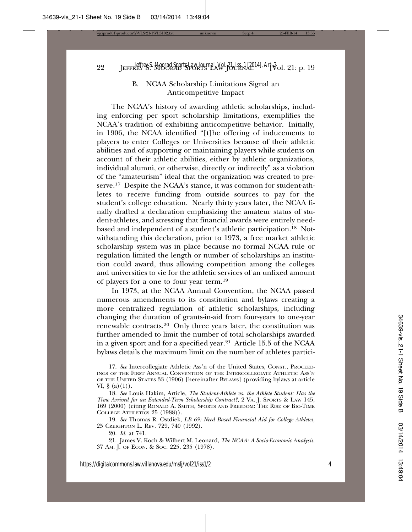# B. NCAA Scholarship Limitations Signal an Anticompetitive Impact

The NCAA's history of awarding athletic scholarships, including enforcing per sport scholarship limitations, exemplifies the NCAA's tradition of exhibiting anticompetitive behavior. Initially, in 1906, the NCAA identified "[t]he offering of inducements to players to enter Colleges or Universities because of their athletic abilities and of supporting or maintaining players while students on account of their athletic abilities, either by athletic organizations, individual alumni, or otherwise, directly or indirectly" as a violation of the "amateurism" ideal that the organization was created to preserve.<sup>17</sup> Despite the NCAA's stance, it was common for student-athletes to receive funding from outside sources to pay for the student's college education. Nearly thirty years later, the NCAA finally drafted a declaration emphasizing the amateur status of student-athletes, and stressing that financial awards were entirely needbased and independent of a student's athletic participation.18 Notwithstanding this declaration, prior to 1973, a free market athletic scholarship system was in place because no formal NCAA rule or regulation limited the length or number of scholarships an institution could award, thus allowing competition among the colleges and universities to vie for the athletic services of an unfixed amount of players for a one to four year term.19

In 1973, at the NCAA Annual Convention, the NCAA passed numerous amendments to its constitution and bylaws creating a more centralized regulation of athletic scholarships, including changing the duration of grants-in-aid from four-years to one-year renewable contracts.20 Only three years later, the constitution was further amended to limit the number of total scholarships awarded in a given sport and for a specified year.21 Article 15.5 of the NCAA bylaws details the maximum limit on the number of athletes partici-

<sup>17.</sup> *See* Intercollegiate Athletic Ass'n of the United States, CONST., PROCEED-INGS OF THE FIRST ANNUAL CONVENTION OF THE INTERCOLLEGIATE ATHLETIC ASS'N OF THE UNITED STATES 33 (1906) [hereinafter BYLAWS] (providing bylaws at article VI, §  $(a)(1)$ ).

<sup>18.</sup> *See* Louis Hakim, Article, *The Student-Athlete vs. the Athlete Student: Has the Time Arrived for an Extended-Term Scholarship Contract?*, 2 VA. J. SPORTS & LAW 145, 169 (2000) (citing RONALD A. SMITH, SPORTS AND FREEDOM: THE RISE OF BIG-TIME COLLEGE ATHLETICS 25 (1988)).

<sup>19.</sup> *See* Thomas R. Ostdiek, *LB 69: Need Based Financial Aid for College Athletes*, 25 CREIGHTON L. REV. 729, 740 (1992).

<sup>20.</sup> *Id.* at 741.

<sup>21.</sup> James V. Koch & Wilbert M. Leonard, *The NCAA: A Socio-Economic Analysis*, 37 AM. J. OF ECON. & SOC. 225, 235 (1978).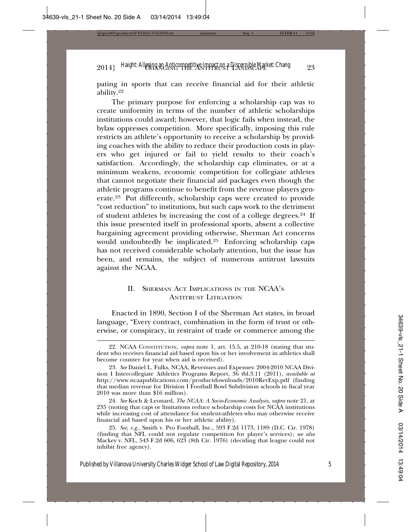pating in sports that can receive financial aid for their athletic ability.22

The primary purpose for enforcing a scholarship cap was to create uniformity in terms of the number of athletic scholarships institutions could award; however, that logic fails when instead, the bylaw oppresses competition. More specifically, imposing this rule restricts an athlete's opportunity to receive a scholarship by providing coaches with the ability to reduce their production costs in players who get injured or fail to yield results to their coach's satisfaction. Accordingly, the scholarship cap eliminates, or at a minimum weakens, economic competition for collegiate athletes that cannot negotiate their financial aid packages even though the athletic programs continue to benefit from the revenue players generate.23 Put differently, scholarship caps were created to provide "cost reduction" to institutions, but such caps work to the detriment of student athletes by increasing the cost of a college degrees.<sup>24</sup> If this issue presented itself in professional sports, absent a collective bargaining agreement providing otherwise, Sherman Act concerns would undoubtedly be implicated.25 Enforcing scholarship caps has not received considerable scholarly attention, but the issue has been, and remains, the subject of numerous antitrust lawsuits against the NCAA.

#### II. SHERMAN ACT IMPLICATIONS IN THE NCAA'S ANTITRUST LITIGATION

Enacted in 1890, Section I of the Sherman Act states, in broad language, "Every contract, combination in the form of trust or otherwise, or conspiracy, in restraint of trade or commerce among the

<sup>22.</sup> NCAA CONSTITUTION, *supra* note 1, art. 15.5, at 210-18 (stating that student who receives financial aid based upon his or her involvement in athletics shall become counter for year when aid is received).

<sup>23.</sup> *See* Daniel L. Fulks, NCAA, Revenues and Expenses: 2004-2010 NCAA Division I Intercollegiate Athletics Programs Report, 36 tbl.3.11 (2011), *available at* http://www.ncaapublications.com/productdownloads/2010RevExp.pdf (finding that median revenue for Division I Football Bowl Subdivision schools in fiscal year 2010 was more than \$16 million).

<sup>24.</sup> *See* Koch & Leonard, *The NCAA: A Socio-Economic Analysis*, *supra* note 21, at 235 (noting that caps or limitations reduce scholarship costs for NCAA institutions while increasing cost of attendance for student-athletes who may otherwise receive financial aid based upon his or her athletic ability).

<sup>25.</sup> *See, e.g.*, Smith v. Pro Football, Inc., 593 F.2d 1173, 1189 (D.C. Cir. 1978) (finding that NFL could not regulate competition for player's services); *see also* Mackey v. NFL, 543 F.2d 606, 623 (8th Cir. 1976) (deciding that league could not inhibit free agency).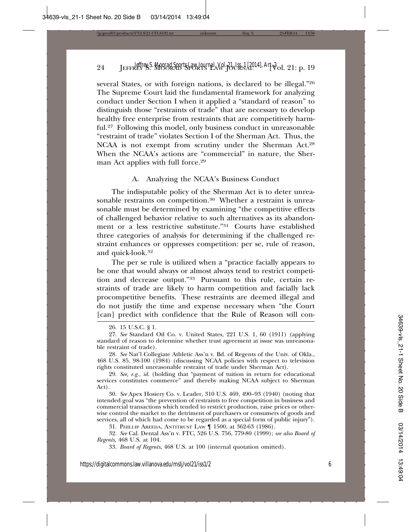several States, or with foreign nations, is declared to be illegal."26 The Supreme Court laid the fundamental framework for analyzing conduct under Section I when it applied a "standard of reason" to distinguish those "restraints of trade" that are necessary to develop healthy free enterprise from restraints that are competitively harmful.27 Following this model, only business conduct in unreasonable "restraint of trade" violates Section I of the Sherman Act. Thus, the NCAA is not exempt from scrutiny under the Sherman Act.<sup>28</sup> When the NCAA's actions are "commercial" in nature, the Sherman Act applies with full force.<sup>29</sup>

#### A. Analyzing the NCAA's Business Conduct

The indisputable policy of the Sherman Act is to deter unreasonable restraints on competition.<sup>30</sup> Whether a restraint is unreasonable must be determined by examining "the competitive effects of challenged behavior relative to such alternatives as its abandonment or a less restrictive substitute."31 Courts have established three categories of analysis for determining if the challenged restraint enhances or oppresses competition: per se, rule of reason, and quick-look.32

The per se rule is utilized when a "practice facially appears to be one that would always or almost always tend to restrict competition and decrease output."33 Pursuant to this rule, certain restraints of trade are likely to harm competition and facially lack procompetitive benefits. These restraints are deemed illegal and do not justify the time and expense necessary when "the Court [can] predict with confidence that the Rule of Reason will con-

30. *See* Apex Hosiery Co. v. Leader, 310 U.S. 469, 490–93 (1940) (noting that intended goal was "the prevention of restraints to free competition in business and commercial transactions which tended to restrict production, raise prices or otherwise control the market to the detriment of purchasers or consumers of goods and services, all of which had come to be regarded as a special form of public injury").

31. PHILLIP AREEDA, ANTITRUST LAW ¶ 1500, at 362-63 (1986).

32. *See* Cal. Dental Ass'n v. FTC, 526 U.S. 756, 779-80 (1999); *see also Board of Regents*, 468 U.S. at 104.

33. *Board of Regents*, 468 U.S. at 100 (internal quotation omitted).

<sup>26. 15</sup> U.S.C. § 1.

<sup>27.</sup> *See* Standard Oil Co. v. United States, 221 U.S. 1, 60 (1911) (applying standard of reason to determine whether trust agreement at issue was unreasonable restraint of trade).

<sup>28.</sup> *See* Nat'l Collegiate Athletic Ass'n v. Bd. of Regents of the Univ. of Okla., 468 U.S. 85, 98-100 (1984) (discussing NCAA policies with respect to television rights constituted unreasonable restraint of trade under Sherman Act).

<sup>29.</sup> *See, e.g.*, *id.* (holding that "payment of tuition in return for educational services constitutes commerce" and thereby making NCAA subject to Sherman Act).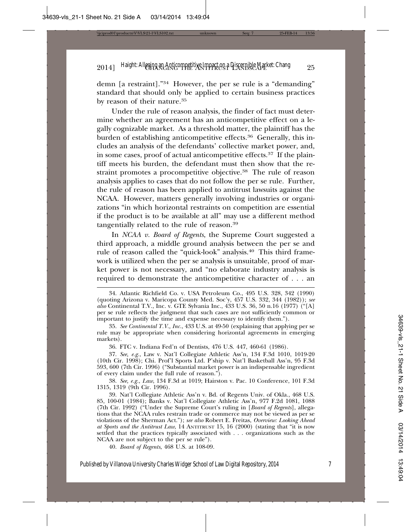demn [a restraint]."34 However, the per se rule is a "demanding" standard that should only be applied to certain business practices by reason of their nature.35

Under the rule of reason analysis, the finder of fact must determine whether an agreement has an anticompetitive effect on a legally cognizable market. As a threshold matter, the plaintiff has the burden of establishing anticompetitive effects.<sup>36</sup> Generally, this includes an analysis of the defendants' collective market power, and, in some cases, proof of actual anticompetitive effects.37 If the plaintiff meets his burden, the defendant must then show that the restraint promotes a procompetitive objective.38 The rule of reason analysis applies to cases that do not follow the per se rule. Further, the rule of reason has been applied to antitrust lawsuits against the NCAA. However, matters generally involving industries or organizations "in which horizontal restraints on competition are essential if the product is to be available at all" may use a different method tangentially related to the rule of reason.39

In *NCAA v. Board of Regents*, the Supreme Court suggested a third approach, a middle ground analysis between the per se and rule of reason called the "quick-look" analysis.40 This third framework is utilized when the per se analysis is unsuitable, proof of market power is not necessary, and "no elaborate industry analysis is required to demonstrate the anticompetitive character of . . . an

36. FTC v. Indiana Fed'n of Dentists, 476 U.S. 447, 460-61 (1986).

37. *See, e.g.*, Law v. Nat'l Collegiate Athletic Ass'n, 134 F.3d 1010, 1019-20 (10th Cir. 1998); Chi. Prof'l Sports Ltd. P'ship v. Nat'l Basketball Ass'n, 95 F.3d 593, 600 (7th Cir. 1996) ("Substantial market power is an indispensable ingredient of every claim under the full rule of reason.").

38. *See, e.g.*, *Law*, 134 F.3d at 1019; Hairston v. Pac. 10 Conference, 101 F.3d 1315, 1319 (9th Cir. 1996).

39. Nat'l Collegiate Athletic Ass'n v. Bd. of Regents Univ. of Okla., 468 U.S. 85, 100-01 (1984); Banks v. Nat'l Collegiate Athletic Ass'n, 977 F.2d 1081, 1088 (7th Cir. 1992) ("Under the Supreme Court's ruling in [*Board of Regents*], allegations that the NCAA rules restrain trade or commerce may not be viewed as per se violations of the Sherman Act."); *see also* Robert E. Freitas, *Overview: Looking Ahead at Sports and the Antitrust Law*, 14 ANTITRUST 15, 16 (2000) (stating that "it is now settled that the practices typically associated with . . . organizations such as the NCAA are not subject to the per se rule").

40. *Board of Regents*, 468 U.S. at 108-09.

<sup>34.</sup> Atlantic Richfield Co. v. USA Petroleum Co., 495 U.S. 328, 342 (1990) (quoting Arizona v. Maricopa County Med. Soc'y, 457 U.S. 332, 344 (1982)); *see also* Continental T.V., Inc. v. GTE Sylvania Inc., 433 U.S. 36, 50 n.16 (1977) ("[A] per se rule reflects the judgment that such cases are not sufficiently common or important to justify the time and expense necessary to identify them.").

<sup>35.</sup> *See Continental T.V., Inc.*, 433 U.S. at 49-50 (explaining that applying per se rule may be appropriate when considering horizontal agreements in emerging markets).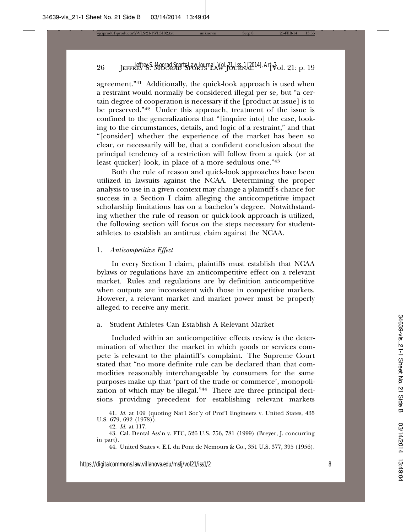agreement."41 Additionally, the quick-look approach is used when a restraint would normally be considered illegal per se, but "a certain degree of cooperation is necessary if the [product at issue] is to be preserved."42 Under this approach, treatment of the issue is confined to the generalizations that "[inquire into] the case, looking to the circumstances, details, and logic of a restraint," and that "[consider] whether the experience of the market has been so clear, or necessarily will be, that a confident conclusion about the principal tendency of a restriction will follow from a quick (or at least quicker) look, in place of a more sedulous one."43

Both the rule of reason and quick-look approaches have been utilized in lawsuits against the NCAA. Determining the proper analysis to use in a given context may change a plaintiff's chance for success in a Section I claim alleging the anticompetitive impact scholarship limitations has on a bachelor's degree. Notwithstanding whether the rule of reason or quick-look approach is utilized, the following section will focus on the steps necessary for studentathletes to establish an antitrust claim against the NCAA.

#### 1. *Anticompetitive Effect*

In every Section I claim, plaintiffs must establish that NCAA bylaws or regulations have an anticompetitive effect on a relevant market. Rules and regulations are by definition anticompetitive when outputs are inconsistent with those in competitive markets. However, a relevant market and market power must be properly alleged to receive any merit.

#### a. Student Athletes Can Establish A Relevant Market

Included within an anticompetitive effects review is the determination of whether the market in which goods or services compete is relevant to the plaintiff's complaint. The Supreme Court stated that "no more definite rule can be declared than that commodities reasonably interchangeable by consumers for the same purposes make up that 'part of the trade or commerce', monopolization of which may be illegal."44 There are three principal decisions providing precedent for establishing relevant markets

<sup>41.</sup> *Id.* at 109 (quoting Nat'l Soc'y of Prof'l Engineers v. United States, 435 U.S. 679, 692 (1978)).

<sup>42.</sup> *Id.* at 117.

<sup>43.</sup> Cal. Dental Ass'n v. FTC, 526 U.S. 756, 781 (1999) (Breyer, J. concurring in part).

<sup>44.</sup> United States v. E.I. du Pont de Nemours & Co., 351 U.S. 377, 395 (1956).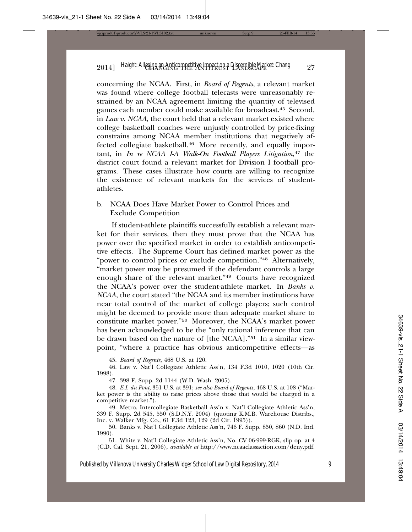concerning the NCAA. First, in *Board of Regents*, a relevant market was found where college football telecasts were unreasonably restrained by an NCAA agreement limiting the quantity of televised games each member could make available for broadcast.45 Second, in *Law v. NCAA*, the court held that a relevant market existed where college basketball coaches were unjustly controlled by price-fixing constrains among NCAA member institutions that negatively affected collegiate basketball.<sup>46</sup> More recently, and equally important, in *In re NCAA I-A Walk-On Football Players Litigation*, 47 the district court found a relevant market for Division I football programs. These cases illustrate how courts are willing to recognize the existence of relevant markets for the services of studentathletes.

b. NCAA Does Have Market Power to Control Prices and Exclude Competition

If student-athlete plaintiffs successfully establish a relevant market for their services, then they must prove that the NCAA has power over the specified market in order to establish anticompetitive effects. The Supreme Court has defined market power as the "power to control prices or exclude competition."48 Alternatively, "market power may be presumed if the defendant controls a large enough share of the relevant market."49 Courts have recognized the NCAA's power over the student-athlete market. In *Banks v. NCAA*, the court stated "the NCAA and its member institutions have near total control of the market of college players; such control might be deemed to provide more than adequate market share to constitute market power."50 Moreover, the NCAA's market power has been acknowledged to be the "only rational inference that can be drawn based on the nature of [the NCAA]."51 In a similar viewpoint, "where a practice has obvious anticompetitive effects—as

45. *Board of Regents*, 468 U.S. at 120.

46. Law v. Nat'l Collegiate Athletic Ass'n, 134 F.3d 1010, 1020 (10th Cir. 1998).

47. 398 F. Supp. 2d 1144 (W.D. Wash. 2005).

48. *E.I. du Pont*, 351 U.S. at 391; *see also Board of Regents*, 468 U.S. at 108 ("Market power is the ability to raise prices above those that would be charged in a competitive market.").

49. Metro. Intercollegiate Basketball Ass'n v. Nat'l Collegiate Athletic Ass'n, 339 F. Supp. 2d 545, 550 (S.D.N.Y. 2004) (quoting K.M.B. Warehouse Distribs., Inc. v. Walker Mfg. Co., 61 F.3d 123, 129 (2d Cir. 1995)).

50. Banks v. Nat'l Collegiate Athletic Ass'n, 746 F. Supp. 850, 860 (N.D. Ind. 1990).

51. White v. Nat'l Collegiate Athletic Ass'n, No. CV 06-999-RGK, slip op. at 4 (C.D. Cal. Sept. 21, 2006), *available at* http://www.ncaaclassaction.com/deny.pdf.

Published by Villanova University Charles Widger School of Law Digital Repository, 2014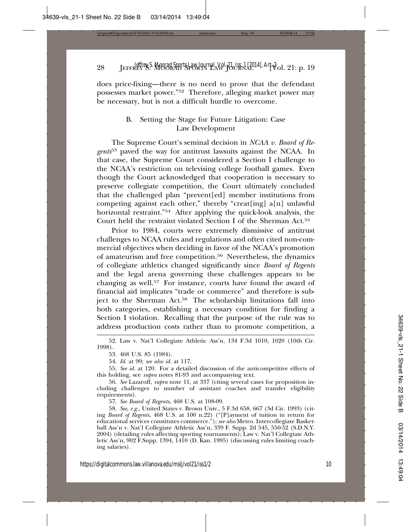does price-fixing—there is no need to prove that the defendant possesses market power."52 Therefore, alleging market power may be necessary, but is not a difficult hurdle to overcome.

#### B. Setting the Stage for Future Litigation: Case Law Development

The Supreme Court's seminal decision in *NCAA v. Board of Regents*53 paved the way for antitrust lawsuits against the NCAA. In that case, the Supreme Court considered a Section I challenge to the NCAA's restriction on televising college football games. Even though the Court acknowledged that cooperation is necessary to preserve collegiate competition, the Court ultimately concluded that the challenged plan "prevent[ed] member institutions from competing against each other," thereby "creat[ing] a[n] unlawful horizontal restraint."<sup>54</sup> After applying the quick-look analysis, the Court held the restraint violated Section I of the Sherman Act.55

Prior to 1984, courts were extremely dismissive of antitrust challenges to NCAA rules and regulations and often cited non-commercial objectives when deciding in favor of the NCAA's promotion of amateurism and free competition.<sup>56</sup> Nevertheless, the dynamics of collegiate athletics changed significantly since *Board of Regents* and the legal arena governing these challenges appears to be changing as well.57 For instance, courts have found the award of financial aid implicates "trade or commerce" and therefore is subject to the Sherman Act.<sup>58</sup> The scholarship limitations fall into both categories, establishing a necessary condition for finding a Section I violation. Recalling that the purpose of the rule was to address production costs rather than to promote competition, a

57. *See Board of Regents*, 468 U.S. at 108-09.

58. *See, e.g.*, United States v. Brown Univ., 5 F.3d 658, 667 (3d Cir. 1993) (citing *Board of Regents*, 468 U.S. at 100 n.22) ("[P]ayment of tuition in return for educational services constitutes commerce."); *see also* Metro. Intercollegiate Basketball Ass'n v. Nat'l Collegiate Athletic Ass'n, 339 F. Supp. 2d 545, 550-52 (S.D.N.Y. 2004) (detailing rules affecting sporting tournaments); Law v. Nat'l Collegiate Athletic Ass'n, 902 F.Supp. 1394, 1410 (D. Kan. 1995) (discussing rules limiting coaching salaries).

<sup>52.</sup> Law v. Nat'l Collegiate Athletic Ass'n, 134 F.3d 1010, 1020 (10th Cir. 1998).

<sup>53. 468</sup> U.S. 85 (1984).

<sup>54.</sup> *Id.* at 99; *see also id.* at 117.

<sup>55.</sup> *See id.* at 120. For a detailed discussion of the anticompetitive effects of this holding, see *supra* notes 81-93 and accompanying text.

<sup>56.</sup> *See* Lazaroff, *supra* note 11, at 337 (citing several cases for proposition including challenges to number of assistant coaches and transfer eligibility requirements).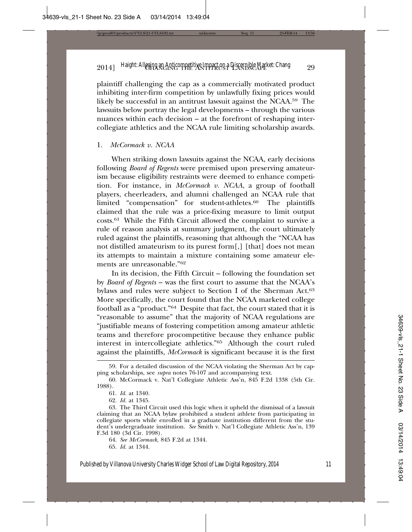plaintiff challenging the cap as a commercially motivated product inhibiting inter-firm competition by unlawfully fixing prices would likely be successful in an antitrust lawsuit against the NCAA.59 The lawsuits below portray the legal developments – through the various nuances within each decision – at the forefront of reshaping intercollegiate athletics and the NCAA rule limiting scholarship awards.

#### 1. *McCormack v. NCAA*

When striking down lawsuits against the NCAA, early decisions following *Board of Regents* were premised upon preserving amateurism because eligibility restraints were deemed to enhance competition. For instance, in *McCormack v. NCAA*, a group of football players, cheerleaders, and alumni challenged an NCAA rule that limited "compensation" for student-athletes.<sup>60</sup> The plaintiffs claimed that the rule was a price-fixing measure to limit output costs.61 While the Fifth Circuit allowed the complaint to survive a rule of reason analysis at summary judgment, the court ultimately ruled against the plaintiffs, reasoning that although the "NCAA has not distilled amateurism to its purest form[,] [that] does not mean its attempts to maintain a mixture containing some amateur elements are unreasonable."62

In its decision, the Fifth Circuit – following the foundation set by *Board of Regents* – was the first court to assume that the NCAA's bylaws and rules were subject to Section I of the Sherman Act.<sup>63</sup> More specifically, the court found that the NCAA marketed college football as a "product."64 Despite that fact, the court stated that it is "reasonable to assume" that the majority of NCAA regulations are "justifiable means of fostering competition among amateur athletic teams and therefore procompetitive because they enhance public interest in intercollegiate athletics."65 Although the court ruled against the plaintiffs, *McCormack* is significant because it is the first

62. *Id.* at 1345.

65. *Id.* at 1344.

<sup>59.</sup> For a detailed discussion of the NCAA violating the Sherman Act by capping scholarships, see *supra* notes 76-107 and accompanying text.

<sup>60.</sup> McCormack v. Nat'l Collegiate Athletic Ass'n, 845 F.2d 1338 (5th Cir. 1988).

<sup>61.</sup> *Id.* at 1340.

<sup>63.</sup> The Third Circuit used this logic when it upheld the dismissal of a lawsuit claiming that an NCAA bylaw prohibited a student athlete from participating in collegiate sports while enrolled in a graduate institution different from the student's undergraduate institution. *See* Smith v. Nat'l Collegiate Athletic Ass'n, 139 F.3d 180 (3d Cir. 1998).

<sup>64.</sup> *See McCormack*, 845 F.2d at 1344.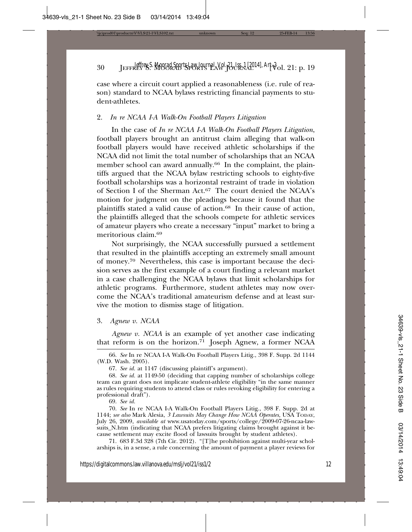case where a circuit court applied a reasonableness (i.e. rule of reason) standard to NCAA bylaws restricting financial payments to student-athletes.

#### 2. *In re NCAA I-A Walk-On Football Players Litigation*

In the case of *In re NCAA I-A Walk-On Football Players Litigation*, football players brought an antitrust claim alleging that walk-on football players would have received athletic scholarships if the NCAA did not limit the total number of scholarships that an NCAA member school can award annually.<sup>66</sup> In the complaint, the plaintiffs argued that the NCAA bylaw restricting schools to eighty-five football scholarships was a horizontal restraint of trade in violation of Section I of the Sherman Act.<sup>67</sup> The court denied the NCAA's motion for judgment on the pleadings because it found that the plaintiffs stated a valid cause of action.<sup>68</sup> In their cause of action, the plaintiffs alleged that the schools compete for athletic services of amateur players who create a necessary "input" market to bring a meritorious claim.69

Not surprisingly, the NCAA successfully pursued a settlement that resulted in the plaintiffs accepting an extremely small amount of money.70 Nevertheless, this case is important because the decision serves as the first example of a court finding a relevant market in a case challenging the NCAA bylaws that limit scholarships for athletic programs. Furthermore, student athletes may now overcome the NCAA's traditional amateurism defense and at least survive the motion to dismiss stage of litigation.

3. *Agnew v. NCAA*

*Agnew v. NCAA* is an example of yet another case indicating that reform is on the horizon.71 Joseph Agnew, a former NCAA

66. *See* In re NCAA I-A Walk-On Football Players Litig., 398 F. Supp. 2d 1144 (W.D. Wash. 2005).

67. *See id.* at 1147 (discussing plaintiff's argument).

68. *See id.* at 1149-50 (deciding that capping number of scholarships college team can grant does not implicate student-athlete eligibility "in the same manner as rules requiring students to attend class or rules revoking eligibility for entering a professional draft").

69. *See id.*

70. *See* In re NCAA I-A Walk-On Football Players Litig., 398 F. Supp. 2d at 1144; *see also* Mark Alesia, *3 Lawsuits May Change How NCAA Operates*, USA TODAY, July 26, 2009, *available at* www.usatoday.com/sports/college/2009-07-26-ncaa-lawsuits\_N.htm (indicating that NCAA prefers litigating claims brought against it because settlement may excite flood of lawsuits brought by student athletes).

71. 683 F.3d 328 (7th Cir. 2012). "[T]he prohibition against multi-year scholarships is, in a sense, a rule concerning the amount of payment a player reviews for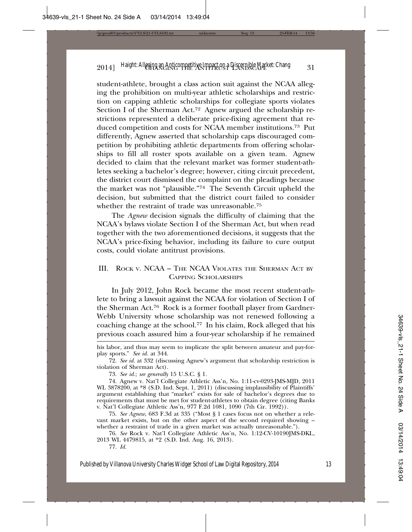student-athlete, brought a class action suit against the NCAA alleging the prohibition on multi-year athletic scholarships and restriction on capping athletic scholarships for collegiate sports violates Section I of the Sherman Act.<sup>72</sup> Agnew argued the scholarship restrictions represented a deliberate price-fixing agreement that reduced competition and costs for NCAA member institutions.<sup>73</sup> Put differently, Agnew asserted that scholarship caps discouraged competition by prohibiting athletic departments from offering scholarships to fill all roster spots available on a given team. Agnew decided to claim that the relevant market was former student-athletes seeking a bachelor's degree; however, citing circuit precedent, the district court dismissed the complaint on the pleadings because the market was not "plausible."74 The Seventh Circuit upheld the decision, but submitted that the district court failed to consider whether the restraint of trade was unreasonable.75

The *Agnew* decision signals the difficulty of claiming that the NCAA's bylaws violate Section I of the Sherman Act, but when read together with the two aforementioned decisions, it suggests that the NCAA's price-fixing behavior, including its failure to cure output costs, could violate antitrust provisions.

#### III. ROCK V. NCAA – THE NCAA VIOLATES THE SHERMAN ACT BY CAPPING SCHOLARSHIPS

In July 2012, John Rock became the most recent student-athlete to bring a lawsuit against the NCAA for violation of Section I of the Sherman Act.76 Rock is a former football player from Gardner-Webb University whose scholarship was not renewed following a coaching change at the school.77 In his claim, Rock alleged that his previous coach assured him a four-year scholarship if he remained

77. *Id.*

his labor, and thus may seem to implicate the split between amateur and pay-forplay sports." *See id.* at 344.

<sup>72.</sup> *See id.* at 332 (discussing Agnew's argument that scholarship restriction is violation of Sherman Act).

<sup>73.</sup> *See id.*; *see generally* 15 U.S.C. § 1*.*

<sup>74.</sup> Agnew v. Nat'l Collegiate Athletic Ass'n, No. 1:11-cv-0293-JMS-MJD, 2011 WL 3878200, at \*8 (S.D. Ind. Sept. 1, 2011) (discussing implausibility of Plaintiffs' argument establishing that "market" exists for sale of bachelor's degrees due to requirements that must be met for student-athletes to obtain degree (citing Banks v. Nat'l Collegiate Athletic Ass'n, 977 F.2d 1081, 1090 (7th Cir. 1992)).

<sup>75.</sup> *See Agnew*, 683 F.3d at 335 ("Most § 1 cases focus not on whether a relevant market exists, but on the other aspect of the second required showing – whether a restraint of trade in a given market was actually unreasonable.").

<sup>76.</sup> *See* Rock v. Nat'l Collegiate Athletic Ass'n, No. 1:12-CV-10190JMS-DKL, 2013 WL 4479815, at \*2 (S.D. Ind. Aug. 16, 2013).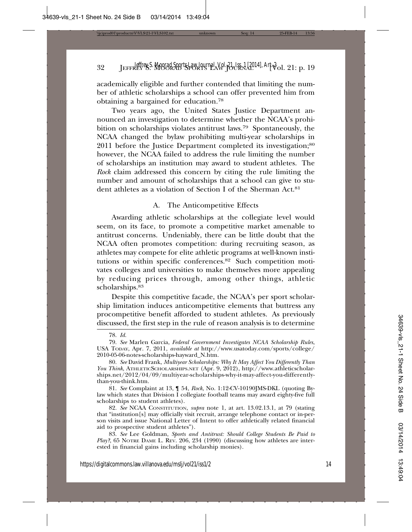academically eligible and further contended that limiting the number of athletic scholarships a school can offer prevented him from obtaining a bargained for education.78

Two years ago, the United States Justice Department announced an investigation to determine whether the NCAA's prohibition on scholarships violates antitrust laws.79 Spontaneously, the NCAA changed the bylaw prohibiting multi-year scholarships in 2011 before the Justice Department completed its investigation;<sup>80</sup> however, the NCAA failed to address the rule limiting the number of scholarships an institution may award to student athletes. The *Rock* claim addressed this concern by citing the rule limiting the number and amount of scholarships that a school can give to student athletes as a violation of Section I of the Sherman Act.<sup>81</sup>

#### A. The Anticompetitive Effects

Awarding athletic scholarships at the collegiate level would seem, on its face, to promote a competitive market amenable to antitrust concerns. Undeniably, there can be little doubt that the NCAA often promotes competition: during recruiting season, as athletes may compete for elite athletic programs at well-known institutions or within specific conferences.82 Such competition motivates colleges and universities to make themselves more appealing by reducing prices through, among other things, athletic scholarships.83

Despite this competitive facade, the NCAA's per sport scholarship limitation induces anticompetitive elements that buttress any procompetitive benefit afforded to student athletes. As previously discussed, the first step in the rule of reason analysis is to determine

81. *See* Complaint at 13, ¶ 54, *Rock*, No. 1:12-CV-10190JMS-DKL (quoting Bylaw which states that Division  $\overline{I}$  collegiate football teams may award eighty-five full scholarships to student athletes).

82. *See* NCAA CONSTITUTION, *supra* note 1, at art. 13.02.13.1, at 79 (stating that "institution[s] may officially visit recruit, arrange telephone contact or in-person visits and issue National Letter of Intent to offer athletically related financial aid to prospective student athletes").

83. *See* Lee Goldman, *Sports and Antitrust: Should College Students Be Paid to Play?*, 65 NOTRE DAME L. REV. 206, 234 (1990) (discussing how athletes are interested in financial gains including scholarship monies).

<sup>78.</sup> *Id.*

<sup>79.</sup> *See* Marlen Garcia, *Federal Government Investigates NCAA Scholarship Rules*, USA TODAY, Apr. 7, 2011, *available at* http://www.usatoday.com/sports/college/ 2010-05-06-notes-scholarships-hayward\_N.htm.

<sup>80.</sup> *See* David Frank, *Multiyear Scholarships: Why It May Affect You Differently Than You Think*, ATHLETICSCHOLARSHIPS.NET (Apr. 9, 2012), http://www.athleticscholarships.net/2012/04/09/multiyear-scholarships-why-it-may-affect-you-differentlythan-you-think.htm.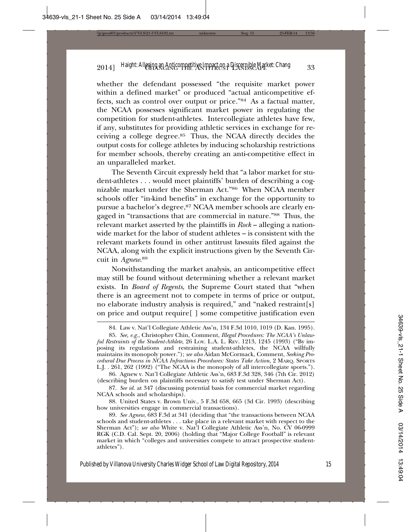whether the defendant possessed "the requisite market power within a defined market" or produced "actual anticompetitive effects, such as control over output or price."84 As a factual matter, the NCAA possesses significant market power in regulating the competition for student-athletes. Intercollegiate athletes have few, if any, substitutes for providing athletic services in exchange for receiving a college degree.85 Thus, the NCAA directly decides the output costs for college athletes by inducing scholarship restrictions for member schools, thereby creating an anti-competitive effect in an unparalleled market.

The Seventh Circuit expressly held that "a labor market for student-athletes . . . would meet plaintiffs' burden of describing a cognizable market under the Sherman Act."86 When NCAA member schools offer "in-kind benefits" in exchange for the opportunity to pursue a bachelor's degree,<sup>87</sup> NCAA member schools are clearly engaged in "transactions that are commercial in nature."88 Thus, the relevant market asserted by the plaintiffs in *Rock* – alleging a nationwide market for the labor of student athletes – is consistent with the relevant markets found in other antitrust lawsuits filed against the NCAA, along with the explicit instructions given by the Seventh Circuit in *Agnew*. 89

Notwithstanding the market analysis, an anticompetitive effect may still be found without determining whether a relevant market exists. In *Board of Regents*, the Supreme Court stated that "when there is an agreement not to compete in terms of price or output, no elaborate industry analysis is required," and "naked restraint[s] on price and output require[ ] some competitive justification even

86. Agnew v. Nat'l Collegiate Athletic Ass'n, 683 F.3d 328, 346 (7th Cir. 2012) (describing burden on plaintiffs necessary to satisfy test under Sherman Act).

87. *See id.* at 347 (discussing potential basis for commercial market regarding NCAA schools and scholarships).

88. United States v. Brown Univ., 5 F.3d 658, 665 (3d Cir. 1993) (describing how universities engage in commercial transactions).

<sup>84.</sup> Law v. Nat'l Collegiate Athletic Ass'n, 134 F.3d 1010, 1019 (D. Kan. 1995).

<sup>85.</sup> *See, e.g.*, Christopher Chin, Comment, *Illegal Procedures: The NCAA's Unlawful Restraints of the Student-Athlete*, 26 LOY. L.A. L. REV. 1213, 1245 (1993) ("By imposing its regulations and restraining student-athletes, the NCAA willfully maintains its monopoly power."); *see also* Aidan McCormack, Comment, *Seeking Procedural Due Process in NCAA Infractions Procedures: States Take Action*, 2 MARQ. SPORTS L.J. . 261, 262 (1992) ("The NCAA is the monopoly of all intercollegiate sports.").

<sup>89.</sup> *See Agnew*, 683 F.3d at 341 (deciding that "the transactions between NCAA schools and student-athletes . . . take place in a relevant market with respect to the Sherman Act"); *see also* White v. Nat'l Collegiate Athletic Ass'n, No. CV 06-0999 RGK (C.D. Cal. Sept. 20, 2006) (holding that "Major College Football" is relevant market in which "colleges and universities compete to attract prospective studentathletes").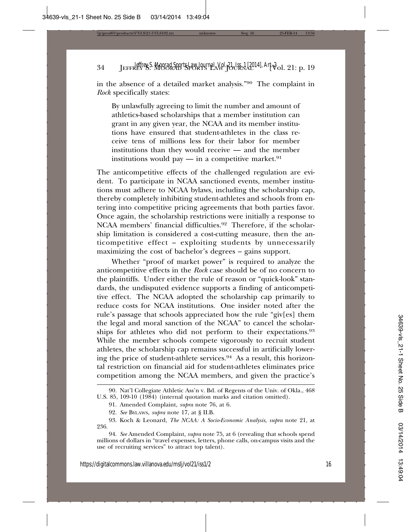in the absence of a detailed market analysis."90 The complaint in *Rock* specifically states:

By unlawfully agreeing to limit the number and amount of athletics-based scholarships that a member institution can grant in any given year, the NCAA and its member institutions have ensured that student-athletes in the class receive tens of millions less for their labor for member institutions than they would receive — and the member institutions would pay — in a competitive market.<sup>91</sup>

The anticompetitive effects of the challenged regulation are evident. To participate in NCAA sanctioned events, member institutions must adhere to NCAA bylaws, including the scholarship cap, thereby completely inhibiting student-athletes and schools from entering into competitive pricing agreements that both parties favor. Once again, the scholarship restrictions were initially a response to NCAA members' financial difficulties.92 Therefore, if the scholarship limitation is considered a cost-cutting measure, then the anticompetitive effect – exploiting students by unnecessarily maximizing the cost of bachelor's degrees – gains support.

Whether "proof of market power" is required to analyze the anticompetitive effects in the *Rock* case should be of no concern to the plaintiffs. Under either the rule of reason or "quick-look" standards, the undisputed evidence supports a finding of anticompetitive effect. The NCAA adopted the scholarship cap primarily to reduce costs for NCAA institutions. One insider noted after the rule's passage that schools appreciated how the rule "giv[es] them the legal and moral sanction of the NCAA" to cancel the scholarships for athletes who did not perform to their expectations.93 While the member schools compete vigorously to recruit student athletes, the scholarship cap remains successful in artificially lowering the price of student-athlete services.<sup>94</sup> As a result, this horizontal restriction on financial aid for student-athletes eliminates price competition among the NCAA members, and given the practice's

<sup>90.</sup> Nat'l Collegiate Athletic Ass'n v. Bd. of Regents of the Univ. of Okla., 468 U.S. 85, 109-10 (1984) (internal quotation marks and citation omitted).

<sup>91.</sup> Amended Complaint, *supra* note 76, at 6.

<sup>92.</sup> *See* BYLAWS, *supra* note 17, at § II.B.

<sup>93.</sup> Koch & Leonard, *The NCAA: A Socio-Economic Analysis*, *supra* note 21, at 236.

<sup>94.</sup> *See* Amended Complaint, *supra* note 75, at 6 (revealing that schools spend millions of dollars in "travel expenses, letters, phone calls, on-campus visits and the use of recruiting services" to attract top talent).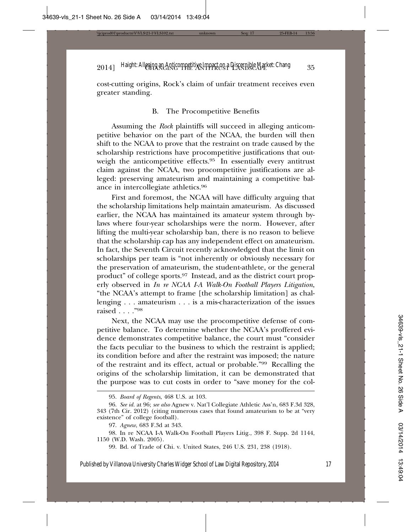cost-cutting origins, Rock's claim of unfair treatment receives even greater standing.

#### B. The Procompetitive Benefits

Assuming the *Rock* plaintiffs will succeed in alleging anticompetitive behavior on the part of the NCAA, the burden will then shift to the NCAA to prove that the restraint on trade caused by the scholarship restrictions have procompetitive justifications that outweigh the anticompetitive effects.95 In essentially every antitrust claim against the NCAA, two procompetitive justifications are alleged: preserving amateurism and maintaining a competitive balance in intercollegiate athletics.96

First and foremost, the NCAA will have difficulty arguing that the scholarship limitations help maintain amateurism. As discussed earlier, the NCAA has maintained its amateur system through bylaws where four-year scholarships were the norm. However, after lifting the multi-year scholarship ban, there is no reason to believe that the scholarship cap has any independent effect on amateurism. In fact, the Seventh Circuit recently acknowledged that the limit on scholarships per team is "not inherently or obviously necessary for the preservation of amateurism, the student-athlete, or the general product" of college sports.97 Instead, and as the district court properly observed in *In re NCAA I-A Walk-On Football Players Litigation*, "the NCAA's attempt to frame [the scholarship limitation] as challenging . . . amateurism . . . is a mis-characterization of the issues raised . . . ."98

Next, the NCAA may use the procompetitive defense of competitive balance. To determine whether the NCAA's proffered evidence demonstrates competitive balance, the court must "consider the facts peculiar to the business to which the restraint is applied; its condition before and after the restraint was imposed; the nature of the restraint and its effect, actual or probable."99 Recalling the origins of the scholarship limitation, it can be demonstrated that the purpose was to cut costs in order to "save money for the col-

99. Bd. of Trade of Chi. v. United States, 246 U.S. 231, 238 (1918).

<sup>95.</sup> *Board of Regents*, 468 U.S. at 103.

<sup>96.</sup> *See id.* at 96; *see also* Agnew v. Nat'l Collegiate Athletic Ass'n, 683 F.3d 328, 343 (7th Cir. 2012) (citing numerous cases that found amateurism to be at "very existence" of college football).

<sup>97.</sup> *Agnew*, 683 F.3d at 343.

<sup>98.</sup> In re NCAA I-A Walk-On Football Players Litig., 398 F. Supp. 2d 1144, 1150 (W.D. Wash. 2005).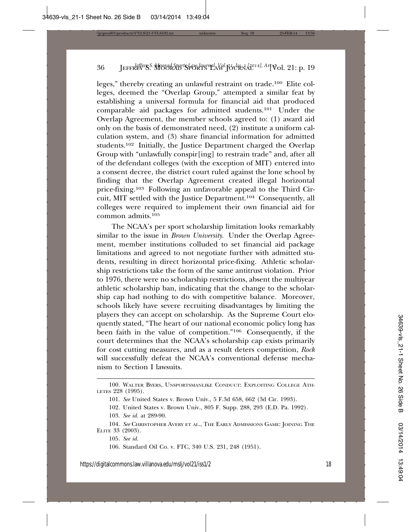leges," thereby creating an unlawful restraint on trade.100 Elite colleges, deemed the "Overlap Group," attempted a similar feat by establishing a universal formula for financial aid that produced comparable aid packages for admitted students.101 Under the Overlap Agreement, the member schools agreed to: (1) award aid only on the basis of demonstrated need, (2) institute a uniform calculation system, and (3) share financial information for admitted students.102 Initially, the Justice Department charged the Overlap Group with "unlawfully conspir[ing] to restrain trade" and, after all of the defendant colleges (with the exception of MIT) entered into a consent decree, the district court ruled against the lone school by finding that the Overlap Agreement created illegal horizontal price-fixing.103 Following an unfavorable appeal to the Third Circuit, MIT settled with the Justice Department.104 Consequently, all colleges were required to implement their own financial aid for common admits.105

The NCAA's per sport scholarship limitation looks remarkably similar to the issue in *Brown University*. Under the Overlap Agreement, member institutions colluded to set financial aid package limitations and agreed to not negotiate further with admitted students, resulting in direct horizontal price-fixing. Athletic scholarship restrictions take the form of the same antitrust violation. Prior to 1976, there were no scholarship restrictions, absent the multiyear athletic scholarship ban, indicating that the change to the scholarship cap had nothing to do with competitive balance. Moreover, schools likely have severe recruiting disadvantages by limiting the players they can accept on scholarship. As the Supreme Court eloquently stated, "The heart of our national economic policy long has been faith in the value of competition."106 Consequently, if the court determines that the NCAA's scholarship cap exists primarily for cost cutting measures, and as a result deters competition, *Rock* will successfully defeat the NCAA's conventional defense mechanism to Section I lawsuits.

- 103. *See id.* at 289-90.
- 104. *See* CHRISTOPHER AVERY ET AL., THE EARLY ADMISSIONS GAME: JOINING THE ELITE 33 (2003).

105. *See id.*

106. Standard Oil Co. v. FTC, 340 U.S. 231, 248 (1951).

<sup>100.</sup> WALTER BYERS, UNSPORTSMANLIKE CONDUCT: EXPLOITING COLLEGE ATH-LETES 228 (1995).

<sup>101.</sup> *See* United States v. Brown Univ., 5 F.3d 658, 662 (3d Cir. 1993).

<sup>102.</sup> United States v. Brown Univ., 805 F. Supp. 288, 293 (E.D. Pa. 1992).